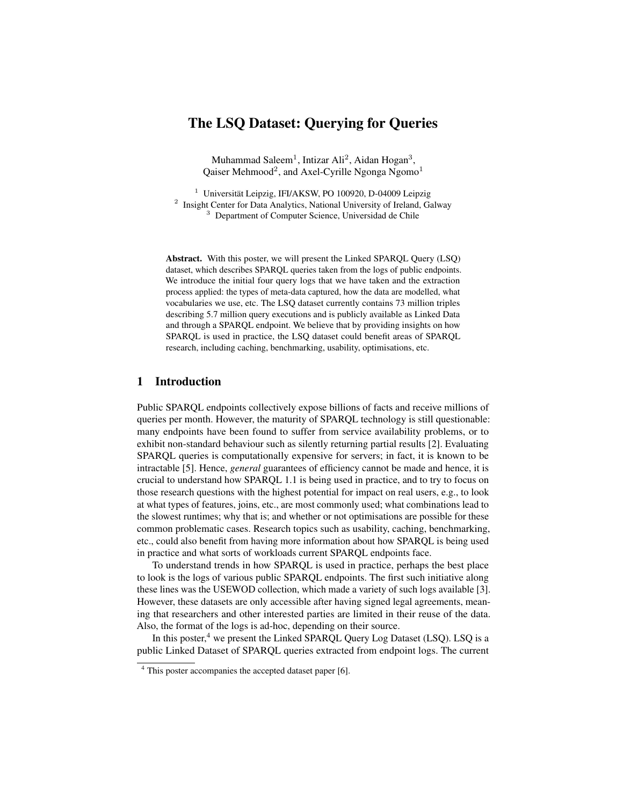# The LSQ Dataset: Querying for Queries

Muhammad Saleem<sup>1</sup>, Intizar Ali<sup>2</sup>, Aidan Hogan<sup>3</sup>, Qaiser Mehmood<sup>2</sup>, and Axel-Cyrille Ngonga Ngomo<sup>1</sup>

<sup>1</sup> Universität Leipzig, IFI/AKSW, PO 100920, D-04009 Leipzig <sup>2</sup> Insight Center for Data Analytics, National University of Ireland, Galway <sup>3</sup> Department of Computer Science, Universidad de Chile

Abstract. With this poster, we will present the Linked SPARQL Query (LSQ) dataset, which describes SPARQL queries taken from the logs of public endpoints. We introduce the initial four query logs that we have taken and the extraction process applied: the types of meta-data captured, how the data are modelled, what vocabularies we use, etc. The LSQ dataset currently contains 73 million triples describing 5.7 million query executions and is publicly available as Linked Data and through a SPARQL endpoint. We believe that by providing insights on how SPARQL is used in practice, the LSQ dataset could benefit areas of SPARQL research, including caching, benchmarking, usability, optimisations, etc.

## 1 Introduction

Public SPARQL endpoints collectively expose billions of facts and receive millions of queries per month. However, the maturity of SPARQL technology is still questionable: many endpoints have been found to suffer from service availability problems, or to exhibit non-standard behaviour such as silently returning partial results [\[2\]](#page-3-0). Evaluating SPARQL queries is computationally expensive for servers; in fact, it is known to be intractable [\[5\]](#page-3-1). Hence, *general* guarantees of efficiency cannot be made and hence, it is crucial to understand how SPARQL 1.1 is being used in practice, and to try to focus on those research questions with the highest potential for impact on real users, e.g., to look at what types of features, joins, etc., are most commonly used; what combinations lead to the slowest runtimes; why that is; and whether or not optimisations are possible for these common problematic cases. Research topics such as usability, caching, benchmarking, etc., could also benefit from having more information about how SPARQL is being used in practice and what sorts of workloads current SPARQL endpoints face.

To understand trends in how SPARQL is used in practice, perhaps the best place to look is the logs of various public SPARQL endpoints. The first such initiative along these lines was the USEWOD collection, which made a variety of such logs available [\[3\]](#page-3-2). However, these datasets are only accessible after having signed legal agreements, meaning that researchers and other interested parties are limited in their reuse of the data. Also, the format of the logs is ad-hoc, depending on their source.

In this poster, $4 \text{ we present the Linked SPARQL Query Log Dataset (LSQ). LSQ is a}$  $4 \text{ we present the Linked SPARQL Query Log Dataset (LSQ). LSQ is a}$ public Linked Dataset of SPARQL queries extracted from endpoint logs. The current

<span id="page-0-0"></span><sup>4</sup> This poster accompanies the accepted dataset paper [\[6\]](#page-3-3).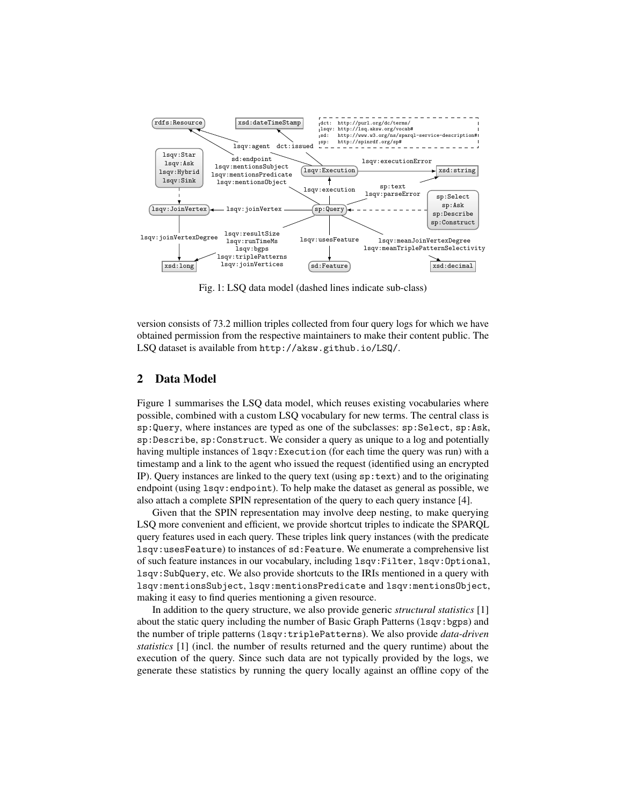<span id="page-1-0"></span>

Fig. 1: LSQ data model (dashed lines indicate sub-class)

version consists of 73.2 million triples collected from four query logs for which we have obtained permission from the respective maintainers to make their content public. The LSQ dataset is available from <http://aksw.github.io/LSQ/>.

#### 2 Data Model

Figure [1](#page-1-0) summarises the LSQ data model, which reuses existing vocabularies where possible, combined with a custom LSQ vocabulary for new terms. The central class is sp:Query, where instances are typed as one of the subclasses: sp:Select, sp:Ask, sp:Describe, sp:Construct. We consider a query as unique to a log and potentially having multiple instances of lsqv:Execution (for each time the query was run) with a timestamp and a link to the agent who issued the request (identified using an encrypted IP). Query instances are linked to the query text (using  $sp:text)$  and to the originating endpoint (using lsqv:endpoint). To help make the dataset as general as possible, we also attach a complete SPIN representation of the query to each query instance [\[4\]](#page-3-4).

Given that the SPIN representation may involve deep nesting, to make querying LSQ more convenient and efficient, we provide shortcut triples to indicate the SPARQL query features used in each query. These triples link query instances (with the predicate lsqv:usesFeature) to instances of sd:Feature. We enumerate a comprehensive list of such feature instances in our vocabulary, including lsqv:Filter, lsqv:Optional, lsqv:SubQuery, etc. We also provide shortcuts to the IRIs mentioned in a query with lsqv:mentionsSubject, lsqv:mentionsPredicate and lsqv:mentionsObject, making it easy to find queries mentioning a given resource.

In addition to the query structure, we also provide generic *structural statistics* [\[1\]](#page-3-5) about the static query including the number of Basic Graph Patterns (1sqv:bgps) and the number of triple patterns (lsqv:triplePatterns). We also provide *data-driven statistics* [\[1\]](#page-3-5) (incl. the number of results returned and the query runtime) about the execution of the query. Since such data are not typically provided by the logs, we generate these statistics by running the query locally against an offline copy of the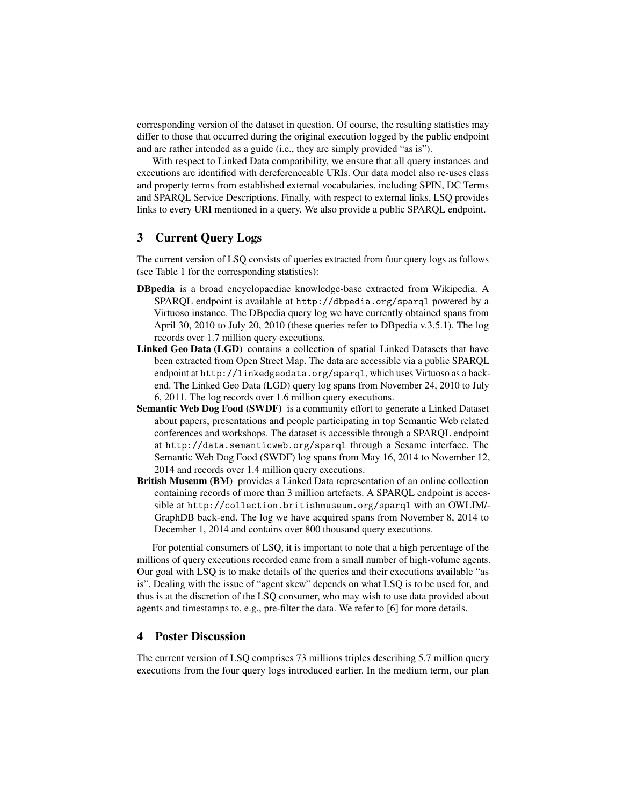corresponding version of the dataset in question. Of course, the resulting statistics may differ to those that occurred during the original execution logged by the public endpoint and are rather intended as a guide (i.e., they are simply provided "as is").

With respect to Linked Data compatibility, we ensure that all query instances and executions are identified with dereferenceable URIs. Our data model also re-uses class and property terms from established external vocabularies, including SPIN, DC Terms and SPARQL Service Descriptions. Finally, with respect to external links, LSQ provides links to every URI mentioned in a query. We also provide a public SPARQL endpoint.

## 3 Current Query Logs

The current version of LSQ consists of queries extracted from four query logs as follows (see Table [1](#page-3-6) for the corresponding statistics):

- DBpedia is a broad encyclopaediac knowledge-base extracted from Wikipedia. A SPARQL endpoint is available at <http://dbpedia.org/sparql> powered by a Virtuoso instance. The DBpedia query log we have currently obtained spans from April 30, 2010 to July 20, 2010 (these queries refer to DBpedia v.3.5.1). The log records over 1.7 million query executions.
- Linked Geo Data (LGD) contains a collection of spatial Linked Datasets that have been extracted from Open Street Map. The data are accessible via a public SPARQL endpoint at <http://linkedgeodata.org/sparql>, which uses Virtuoso as a backend. The Linked Geo Data (LGD) query log spans from November 24, 2010 to July 6, 2011. The log records over 1.6 million query executions.
- Semantic Web Dog Food (SWDF) is a community effort to generate a Linked Dataset about papers, presentations and people participating in top Semantic Web related conferences and workshops. The dataset is accessible through a SPARQL endpoint at <http://data.semanticweb.org/sparql> through a Sesame interface. The Semantic Web Dog Food (SWDF) log spans from May 16, 2014 to November 12, 2014 and records over 1.4 million query executions.
- British Museum (BM) provides a Linked Data representation of an online collection containing records of more than 3 million artefacts. A SPARQL endpoint is accessible at <http://collection.britishmuseum.org/sparql> with an OWLIM/- GraphDB back-end. The log we have acquired spans from November 8, 2014 to December 1, 2014 and contains over 800 thousand query executions.

For potential consumers of LSQ, it is important to note that a high percentage of the millions of query executions recorded came from a small number of high-volume agents. Our goal with LSQ is to make details of the queries and their executions available "as is". Dealing with the issue of "agent skew" depends on what LSQ is to be used for, and thus is at the discretion of the LSQ consumer, who may wish to use data provided about agents and timestamps to, e.g., pre-filter the data. We refer to [\[6\]](#page-3-3) for more details.

## 4 Poster Discussion

The current version of LSQ comprises 73 millions triples describing 5.7 million query executions from the four query logs introduced earlier. In the medium term, our plan